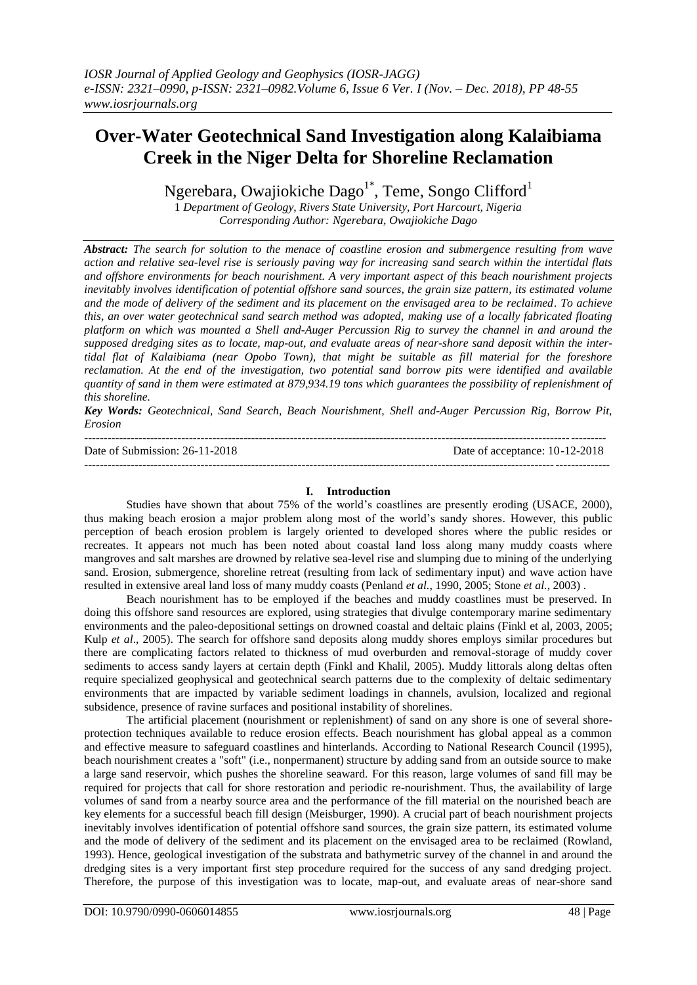# **Over-Water Geotechnical Sand Investigation along Kalaibiama Creek in the Niger Delta for Shoreline Reclamation**

Ngerebara, Owajiokiche Dago $^{1*}$ , Teme, Songo Clifford $^{1}$ 

1 *Department of Geology, Rivers State University, Port Harcourt, Nigeria Corresponding Author: Ngerebara, Owajiokiche Dago*

*Abstract: The search for solution to the menace of coastline erosion and submergence resulting from wave action and relative sea-level rise is seriously paving way for increasing sand search within the intertidal flats and offshore environments for beach nourishment. A very important aspect of this beach nourishment projects inevitably involves identification of potential offshore sand sources, the grain size pattern, its estimated volume and the mode of delivery of the sediment and its placement on the envisaged area to be reclaimed. To achieve this, an over water geotechnical sand search method was adopted, making use of a locally fabricated floating platform on which was mounted a Shell and-Auger Percussion Rig to survey the channel in and around the supposed dredging sites as to locate, map-out, and evaluate areas of near-shore sand deposit within the intertidal flat of Kalaibiama (near Opobo Town), that might be suitable as fill material for the foreshore reclamation. At the end of the investigation, two potential sand borrow pits were identified and available quantity of sand in them were estimated at 879,934.19 tons which guarantees the possibility of replenishment of this shoreline.*

*Key Words: Geotechnical, Sand Search, Beach Nourishment, Shell and-Auger Percussion Rig, Borrow Pit, Erosion*

| Date of Submission: 26-11-2018 | Date of acceptance: 10-12-2018 |
|--------------------------------|--------------------------------|
|                                |                                |

### **I. Introduction**

Studies have shown that about 75% of the world's coastlines are presently eroding (USACE, 2000), thus making beach erosion a major problem along most of the world's sandy shores. However, this public perception of beach erosion problem is largely oriented to developed shores where the public resides or recreates. It appears not much has been noted about coastal land loss along many muddy coasts where mangroves and salt marshes are drowned by relative sea-level rise and slumping due to mining of the underlying sand. Erosion, submergence, shoreline retreat (resulting from lack of sedimentary input) and wave action have resulted in extensive areal land loss of many muddy coasts (Penland *et al.*, 1990, 2005; Stone *et al.*, 2003) .

Beach nourishment has to be employed if the beaches and muddy coastlines must be preserved. In doing this offshore sand resources are explored, using strategies that divulge contemporary marine sedimentary environments and the paleo-depositional settings on drowned coastal and deltaic plains (Finkl et al, 2003, 2005; Kulp *et al*., 2005). The search for offshore sand deposits along muddy shores employs similar procedures but there are complicating factors related to thickness of mud overburden and removal-storage of muddy cover sediments to access sandy layers at certain depth (Finkl and Khalil, 2005). Muddy littorals along deltas often require specialized geophysical and geotechnical search patterns due to the complexity of deltaic sedimentary environments that are impacted by variable sediment loadings in channels, avulsion, localized and regional subsidence, presence of ravine surfaces and positional instability of shorelines.

The artificial placement (nourishment or replenishment) of sand on any shore is one of several shoreprotection techniques available to reduce erosion effects. Beach nourishment has global appeal as a common and effective measure to safeguard coastlines and hinterlands. According to National Research Council (1995), beach nourishment creates a "soft" (i.e., nonpermanent) structure by adding sand from an outside source to make a large sand reservoir, which pushes the shoreline seaward. For this reason, large volumes of sand fill may be required for projects that call for shore restoration and periodic re-nourishment. Thus, the availability of large volumes of sand from a nearby source area and the performance of the fill material on the nourished beach are key elements for a successful beach fill design (Meisburger, 1990). A crucial part of beach nourishment projects inevitably involves identification of potential offshore sand sources, the grain size pattern, its estimated volume and the mode of delivery of the sediment and its placement on the envisaged area to be reclaimed (Rowland, 1993). Hence, geological investigation of the substrata and bathymetric survey of the channel in and around the dredging sites is a very important first step procedure required for the success of any sand dredging project. Therefore, the purpose of this investigation was to locate, map-out, and evaluate areas of near-shore sand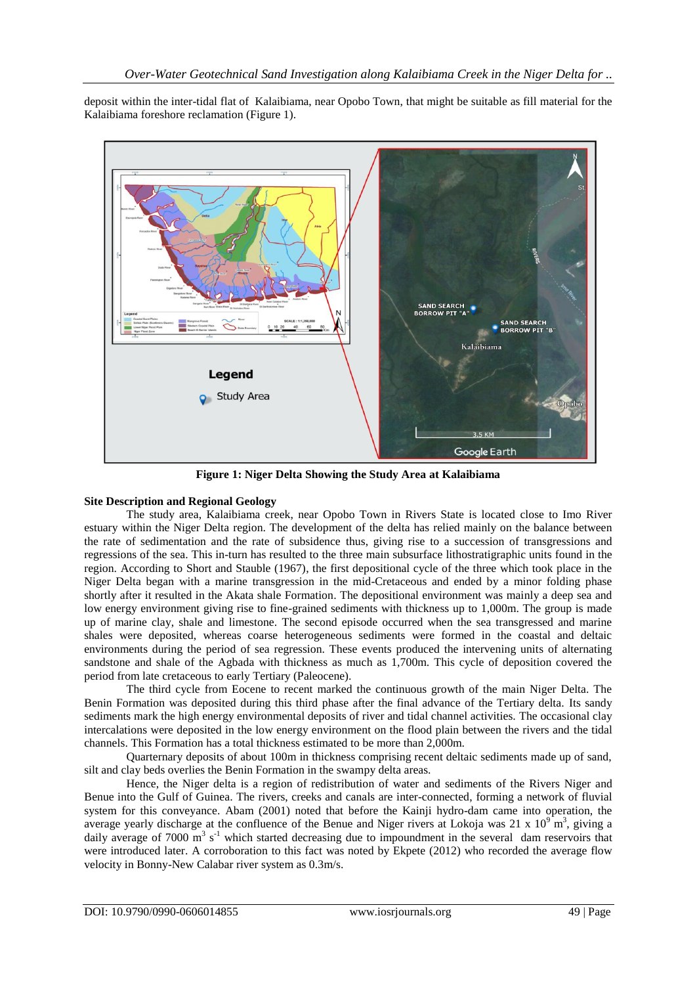deposit within the inter-tidal flat of Kalaibiama, near Opobo Town, that might be suitable as fill material for the Kalaibiama foreshore reclamation (Figure 1).



**Figure 1: Niger Delta Showing the Study Area at Kalaibiama**

### **Site Description and Regional Geology**

The study area, Kalaibiama creek, near Opobo Town in Rivers State is located close to Imo River estuary within the Niger Delta region. The development of the delta has relied mainly on the balance between the rate of sedimentation and the rate of subsidence thus, giving rise to a succession of transgressions and regressions of the sea. This in-turn has resulted to the three main subsurface lithostratigraphic units found in the region. According to Short and Stauble (1967), the first depositional cycle of the three which took place in the Niger Delta began with a marine transgression in the mid-Cretaceous and ended by a minor folding phase shortly after it resulted in the Akata shale Formation. The depositional environment was mainly a deep sea and low energy environment giving rise to fine-grained sediments with thickness up to 1,000m. The group is made up of marine clay, shale and limestone. The second episode occurred when the sea transgressed and marine shales were deposited, whereas coarse heterogeneous sediments were formed in the coastal and deltaic environments during the period of sea regression. These events produced the intervening units of alternating sandstone and shale of the Agbada with thickness as much as 1,700m. This cycle of deposition covered the period from late cretaceous to early Tertiary (Paleocene).

The third cycle from Eocene to recent marked the continuous growth of the main Niger Delta. The Benin Formation was deposited during this third phase after the final advance of the Tertiary delta. Its sandy sediments mark the high energy environmental deposits of river and tidal channel activities. The occasional clay intercalations were deposited in the low energy environment on the flood plain between the rivers and the tidal channels. This Formation has a total thickness estimated to be more than 2,000m.

Quarternary deposits of about 100m in thickness comprising recent deltaic sediments made up of sand, silt and clay beds overlies the Benin Formation in the swampy delta areas.

Hence, the Niger delta is a region of redistribution of water and sediments of the Rivers Niger and Benue into the Gulf of Guinea. The rivers, creeks and canals are inter-connected, forming a network of fluvial system for this conveyance. Abam (2001) noted that before the Kainji hydro-dam came into operation, the average yearly discharge at the confluence of the Benue and Niger rivers at Lokoja was 21 x  $10^9$  m<sup>3</sup>, giving a daily average of 7000  $\text{m}^3$  s<sup>-1</sup> which started decreasing due to impoundment in the several dam reservoirs that were introduced later. A corroboration to this fact was noted by Ekpete (2012) who recorded the average flow velocity in Bonny-New Calabar river system as 0.3m/s.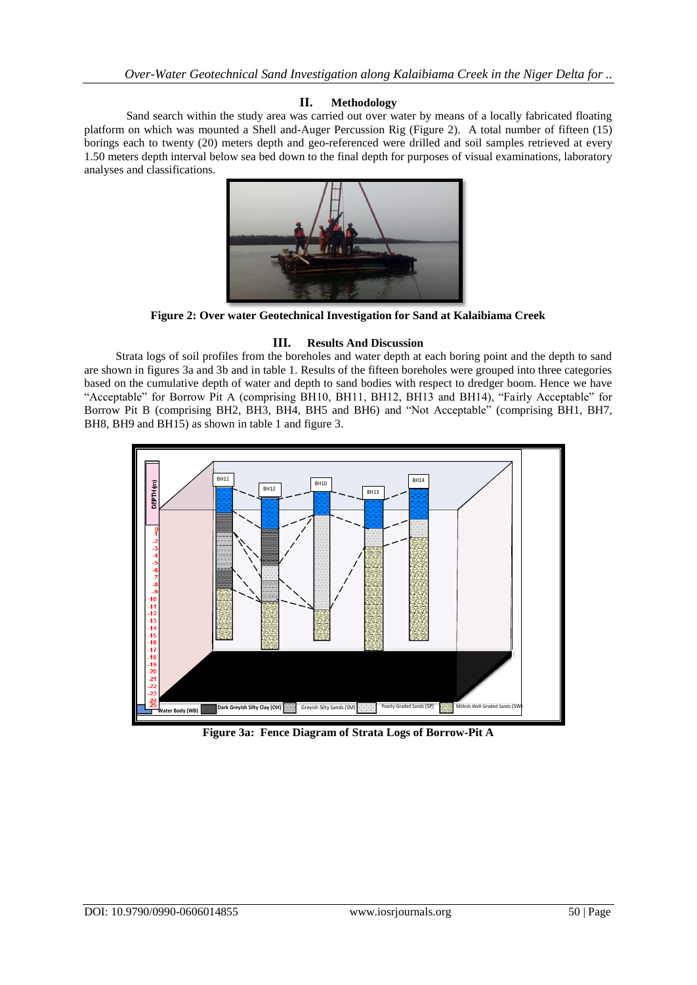### **II. Methodology**

Sand search within the study area was carried out over water by means of a locally fabricated floating platform on which was mounted a Shell and-Auger Percussion Rig (Figure 2). A total number of fifteen (15) borings each to twenty (20) meters depth and geo-referenced were drilled and soil samples retrieved at every 1.50 meters depth interval below sea bed down to the final depth for purposes of visual examinations, laboratory analyses and classifications.



**Figure 2: Over water Geotechnical Investigation for Sand at Kalaibiama Creek** 

### **III. Results And Discussion**

Strata logs of soil profiles from the boreholes and water depth at each boring point and the depth to sand are shown in figures 3a and 3b and in table 1. Results of the fifteen boreholes were grouped into three categories based on the cumulative depth of water and depth to sand bodies with respect to dredger boom. Hence we have "Acceptable" for Borrow Pit A (comprising BH10, BH11, BH12, BH13 and BH14), "Fairly Acceptable" for Borrow Pit B (comprising BH2, BH3, BH4, BH5 and BH6) and "Not Acceptable" (comprising BH1, BH7, BH8, BH9 and BH15) as shown in table 1 and figure 3.



**Figure 3a: Fence Diagram of Strata Logs of Borrow-Pit A**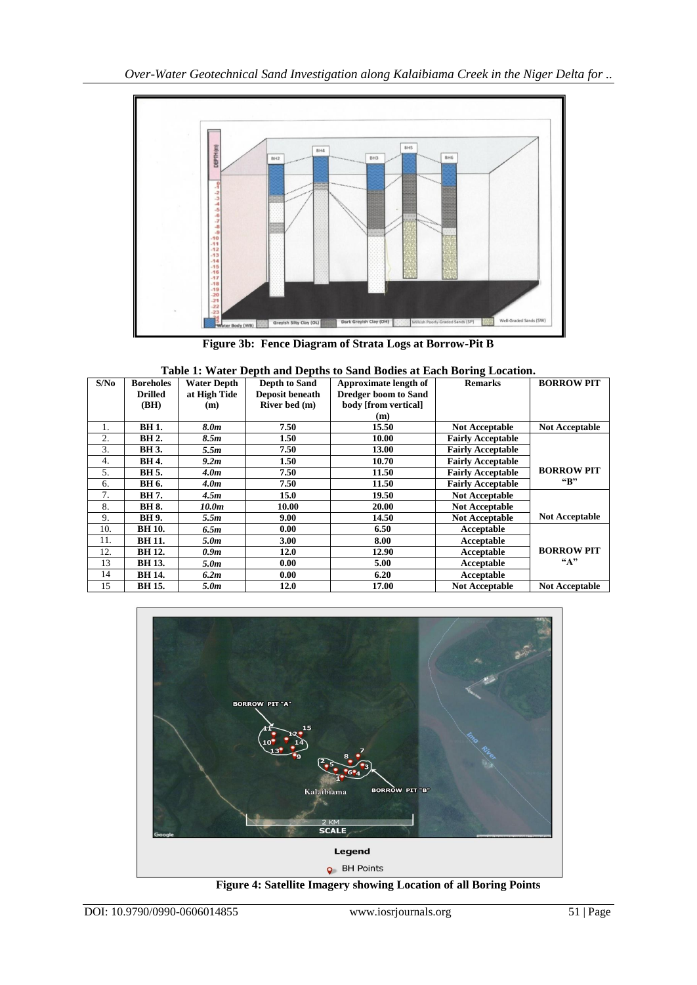

**Figure 3b: Fence Diagram of Strata Logs at Borrow-Pit B**

| Table 1: Water Depth and Depths to Sand Bodies at Each Boring Location. |                  |                    |                      |                             |                          |                         |  |
|-------------------------------------------------------------------------|------------------|--------------------|----------------------|-----------------------------|--------------------------|-------------------------|--|
| S/No                                                                    | <b>Boreholes</b> | <b>Water Depth</b> | <b>Depth to Sand</b> | Approximate length of       | <b>Remarks</b>           | <b>BORROW PIT</b>       |  |
|                                                                         | <b>Drilled</b>   | at High Tide       | Deposit beneath      | <b>Dredger boom to Sand</b> |                          |                         |  |
|                                                                         | (BH)             | (m)                | River bed (m)        | body [from vertical]        |                          |                         |  |
|                                                                         |                  |                    |                      | (m)                         |                          |                         |  |
| 1.                                                                      | <b>BH1.</b>      | 8.0m               | 7.50                 | 15.50                       | <b>Not Acceptable</b>    | <b>Not Acceptable</b>   |  |
| 2.                                                                      | <b>BH</b> 2.     | 8.5m               | 1.50                 | 10.00                       | <b>Fairly Acceptable</b> |                         |  |
| 3.                                                                      | <b>BH</b> 3.     | 5.5m               | 7.50                 | 13.00                       | <b>Fairly Acceptable</b> |                         |  |
| 4.                                                                      | BH 4.            | 9.2m               | 1.50                 | 10.70                       | <b>Fairly Acceptable</b> |                         |  |
| 5.                                                                      | BH 5.            | 4.0 <sub>m</sub>   | 7.50                 | 11.50                       | <b>Fairly Acceptable</b> | <b>BORROW PIT</b>       |  |
| 6.                                                                      | BH 6.            | 4.0 <sub>m</sub>   | 7.50                 | 11.50                       | <b>Fairly Acceptable</b> | $\mathbf{G}_\mathbf{R}$ |  |
| 7.                                                                      | BH 7.            | 4.5m               | 15.0                 | 19.50                       | <b>Not Acceptable</b>    |                         |  |
| 8.                                                                      | <b>BH 8.</b>     | 10.0m              | 10.00                | 20.00                       | <b>Not Acceptable</b>    |                         |  |
| 9.                                                                      | <b>BH</b> 9.     | 5.5m               | 9.00                 | 14.50                       | <b>Not Acceptable</b>    | <b>Not Acceptable</b>   |  |
| 10.                                                                     | <b>BH</b> 10.    | 6.5m               | 0.00                 | 6.50                        | Acceptable               |                         |  |
| 11.                                                                     | <b>BH</b> 11.    | 5.0m               | 3.00                 | 8.00                        | Acceptable               |                         |  |
| 12.                                                                     | <b>BH</b> 12.    | 0.9m               | 12.0                 | 12.90                       | Acceptable               | <b>BORROW PIT</b>       |  |
| 13                                                                      | <b>BH</b> 13.    | 5.0m               | 0.00                 | 5.00                        | Acceptable               | ``A"                    |  |
| 14                                                                      | <b>BH</b> 14.    | 6.2m               | 0.00                 | 6.20                        | Acceptable               |                         |  |
| 15                                                                      | <b>BH</b> 15.    | 5.0m               | 12.0                 | 17.00                       | <b>Not Acceptable</b>    | <b>Not Acceptable</b>   |  |



**Figure 4: Satellite Imagery showing Location of all Boring Points**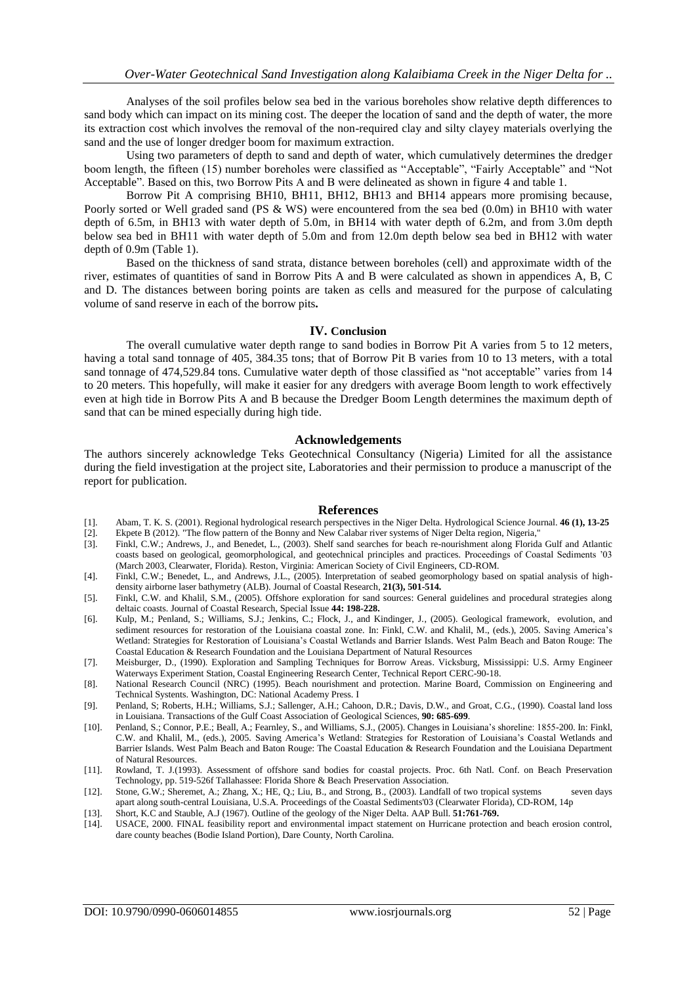Analyses of the soil profiles below sea bed in the various boreholes show relative depth differences to sand body which can impact on its mining cost. The deeper the location of sand and the depth of water, the more its extraction cost which involves the removal of the non-required clay and silty clayey materials overlying the sand and the use of longer dredger boom for maximum extraction.

Using two parameters of depth to sand and depth of water, which cumulatively determines the dredger boom length, the fifteen (15) number boreholes were classified as "Acceptable", "Fairly Acceptable" and "Not Acceptable". Based on this, two Borrow Pits A and B were delineated as shown in figure 4 and table 1.

Borrow Pit A comprising BH10, BH11, BH12, BH13 and BH14 appears more promising because, Poorly sorted or Well graded sand (PS & WS) were encountered from the sea bed (0.0m) in BH10 with water depth of 6.5m, in BH13 with water depth of 5.0m, in BH14 with water depth of 6.2m, and from 3.0m depth below sea bed in BH11 with water depth of 5.0m and from 12.0m depth below sea bed in BH12 with water depth of 0.9m (Table 1).

Based on the thickness of sand strata, distance between boreholes (cell) and approximate width of the river, estimates of quantities of sand in Borrow Pits A and B were calculated as shown in appendices A, B, C and D. The distances between boring points are taken as cells and measured for the purpose of calculating volume of sand reserve in each of the borrow pits*.*

#### **IV. Conclusion**

The overall cumulative water depth range to sand bodies in Borrow Pit A varies from 5 to 12 meters, having a total sand tonnage of 405, 384.35 tons; that of Borrow Pit B varies from 10 to 13 meters, with a total sand tonnage of 474,529.84 tons. Cumulative water depth of those classified as "not acceptable" varies from 14 to 20 meters. This hopefully, will make it easier for any dredgers with average Boom length to work effectively even at high tide in Borrow Pits A and B because the Dredger Boom Length determines the maximum depth of sand that can be mined especially during high tide.

#### **Acknowledgements**

The authors sincerely acknowledge Teks Geotechnical Consultancy (Nigeria) Limited for all the assistance during the field investigation at the project site, Laboratories and their permission to produce a manuscript of the report for publication.

#### **References**

- [1]. Abam, T. K. S. (2001). Regional hydrological research perspectives in the Niger Delta. Hydrological Science Journal. **46 (1), 13-25**
- [2]. Ekpete B (2012). "The flow pattern of the Bonny and New Calabar river systems of Niger Delta region, Nigeria,"
- [3]. Finkl, C.W.; Andrews, J., and Benedet, L., (2003). Shelf sand searches for beach re-nourishment along Florida Gulf and Atlantic coasts based on geological, geomorphological, and geotechnical principles and practices. Proceedings of Coastal Sediments '03 (March 2003, Clearwater, Florida). Reston, Virginia: American Society of Civil Engineers, CD-ROM.
- [4]. Finkl, C.W.; Benedet, L., and Andrews, J.L., (2005). Interpretation of seabed geomorphology based on spatial analysis of highdensity airborne laser bathymetry (ALB). Journal of Coastal Research, **21(3), 501-514.**
- [5]. Finkl, C.W. and Khalil, S.M., (2005). Offshore exploration for sand sources: General guidelines and procedural strategies along deltaic coasts. Journal of Coastal Research, Special Issue **44: 198-228.**
- [6]. Kulp, M.; Penland, S.; Williams, S.J.; Jenkins, C.; Flock, J., and Kindinger, J., (2005). Geological framework, evolution, and sediment resources for restoration of the Louisiana coastal zone. In: Finkl, C.W. and Khalil, M., (eds.), 2005. Saving America's Wetland: Strategies for Restoration of Louisiana's Coastal Wetlands and Barrier Islands. West Palm Beach and Baton Rouge: The Coastal Education & Research Foundation and the Louisiana Department of Natural Resources
- [7]. Meisburger, D., (1990). Exploration and Sampling Techniques for Borrow Areas. Vicksburg, Mississippi: U.S. Army Engineer Waterways Experiment Station, Coastal Engineering Research Center, Technical Report CERC-90-18.
- [8]. National Research Council (NRC) (1995). Beach nourishment and protection. Marine Board, Commission on Engineering and Technical Systents. Washington, DC: National Academy Press. I
- [9]. Penland, S; Roberts, H.H.; Williams, S.J.; Sallenger, A.H.; Cahoon, D.R.; Davis, D.W., and Groat, C.G., (1990). Coastal land loss in Louisiana. Transactions of the Gulf Coast Association of Geological Sciences, **90: 685-699**.
- [10]. Penland, S.; Connor, P.E.; Beall, A.; Fearnley, S., and Williams, S.J., (2005). Changes in Louisiana's shoreline: 1855-200. In: Finkl, C.W. and Khalil, M., (eds.), 2005. Saving America's Wetland: Strategies for Restoration of Louisiana's Coastal Wetlands and Barrier Islands. West Palm Beach and Baton Rouge: The Coastal Education & Research Foundation and the Louisiana Department of Natural Resources.
- [11]. Rowland, T. J.(1993). Assessment of offshore sand bodies for coastal projects. Proc. 6th Natl. Conf. on Beach Preservation Technology, pp. 519-526f Tallahassee: Florida Shore & Beach Preservation Association.
- [12]. Stone, G.W.; Sheremet, A.; Zhang, X.; HE, Q.; Liu, B., and Strong, B., (2003). Landfall of two tropical systems seven days apart along south-central Louisiana, U.S.A. Proceedings of the Coastal Sediments'03 (Clearwater Florida), CD-ROM, 14p
- [13]. Short, K.C and Stauble, A.J (1967). Outline of the geology of the Niger Delta. AAP Bull. **51:761-769.**
- [14]. USACE, 2000. FINAL feasibility report and environmental impact statement on Hurricane protection and beach erosion control, dare county beaches (Bodie Island Portion), Dare County, North Carolina.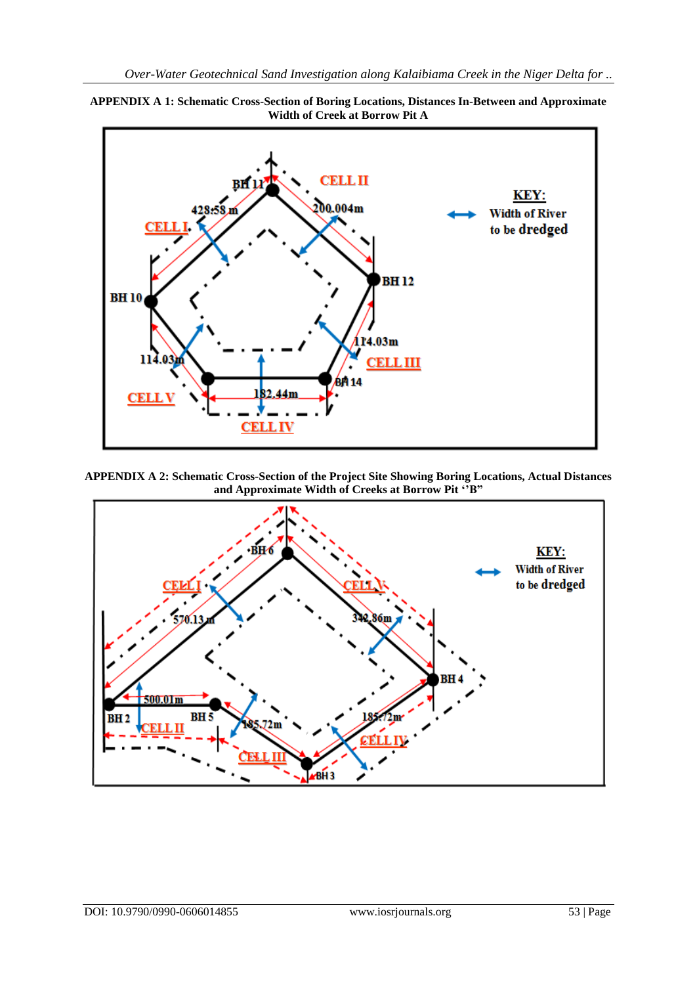

**APPENDIX A 1: Schematic Cross-Section of Boring Locations, Distances In-Between and Approximate Width of Creek at Borrow Pit A**

**APPENDIX A 2: Schematic Cross-Section of the Project Site Showing Boring Locations, Actual Distances and Approximate Width of Creeks at Borrow Pit ""B"**

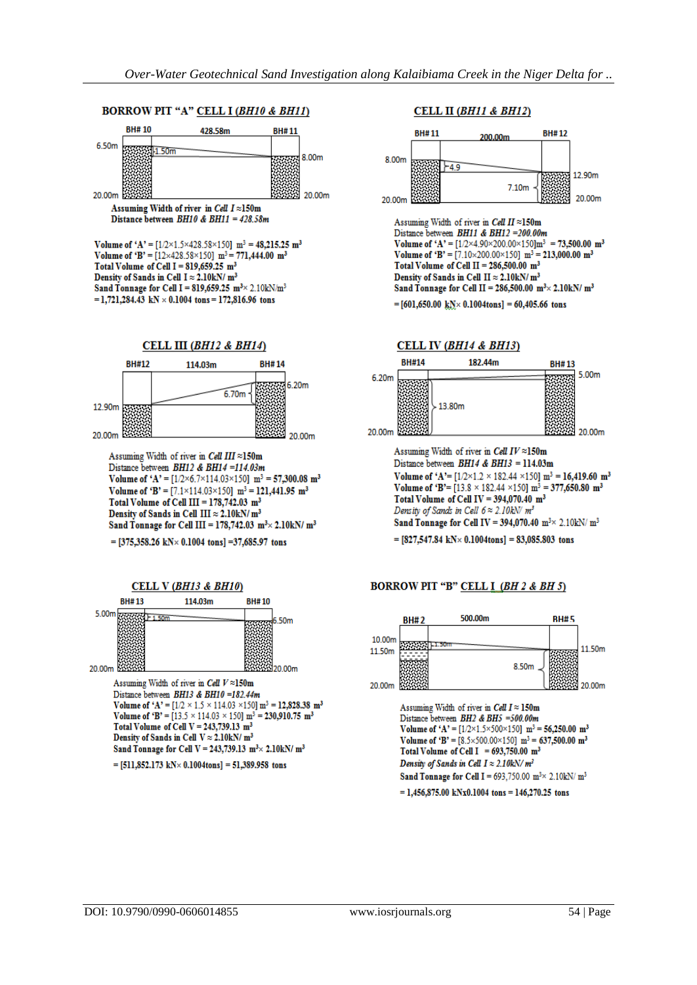### BORROW PIT "A" CELL I (BH10 & BH11)



Volume of 'A' =  $[1/2 \times 1.5 \times 428.58 \times 150]$  m<sup>3</sup> = 48,215.25 m<sup>3</sup> Volume of 'B' =  $[12\times428.58\times150]$  m<sup>3</sup> = 771,444.00 m<sup>3</sup> Total Volume of Cell I =  $819.659.25 \text{ m}^3$ Density of Sands in Cell I  $\approx$  2.10kN/ m<sup>3</sup> Sand Tonnage for Cell I = 819,659.25  $m<sup>3</sup> \times 2.10kN/m<sup>3</sup>$ =1,721,284.43 kN  $\times$  0.1004 tons = 172,816.96 tons



Assuming Width of river in Cell III ≈150m Distance between BH12 & BH14 =114.03m Volume of 'A' =  $[1/2 \times 6.7 \times 114.03 \times 150]$  m<sup>3</sup> = 57,300.08 m<sup>3</sup> Volume of 'B' =  $[7.1 \times 114.03 \times 150]$  m<sup>3</sup> = 121,441.95 m<sup>3</sup> Total Volume of Cell III =  $178,742.03$  m<sup>3</sup> Density of Sands in Cell III  $\approx 2.10$ kN/m<sup>3</sup> Sand Tonnage for Cell III =  $178,742.03$  m<sup>3</sup> $\times$  2.10kN/ m<sup>3</sup>

=  $[375,358.26 \text{ kN} \times 0.1004 \text{ tons}]$  = 37,685.97 tons



Volume of 'A' =  $[1/2 \times 1.5 \times 114.03 \times 150]$  m<sup>3</sup> = 12,828.38 m<sup>3</sup> Volume of 'B' =  $[13.5 \times 114.03 \times 150]$  m<sup>3</sup> = 230,910.75 m<sup>3</sup> Total Volume of Cell  $V = 243,739.13$  m<sup>3</sup> Density of Sands in Cell  $V \approx 2.10$ kN/ $m<sup>3</sup>$ Sand Tonnage for Cell V = 243,739.13  $m^3 \times 2.10kN/m^3$ 

 $=[511,852.173 \text{ kN} \times 0.1004 \text{tons}] = 51,389.958 \text{ tons}$ 

### **CELL II (BH11 & BH12)**



#### **BH#14** 182.44m **BH#13**



Assuming Width of river in Cell  $IV \approx 150$ m Distance between  $BH14 & BH13 = 114.03 \text{m}$ Volume of 'A'=  $[1/2 \times 1.2 \times 182.44 \times 150]$  m<sup>3</sup> = 16,419.60 m<sup>3</sup> Volume of 'B'= [13.8  $\times$  182.44  $\times$ 150] m<sup>3</sup> = 377,650.80 m<sup>3</sup> Total Volume of Cell IV =  $394,070.40$  m<sup>3</sup> Density of Sands in Cell  $6 \approx 2.10$ kN/ $m<sup>3</sup>$ Sand Tonnage for Cell IV = 394,070.40 m<sup>3</sup> $\times$  2.10kN/ m<sup>3</sup>

 $=[827,547.84 \text{ kN} \times 0.1004 \text{tons}] = 83,085.803 \text{ tons}$ 

#### BORROW PIT "B" CELL I (BH 2 & BH 5)